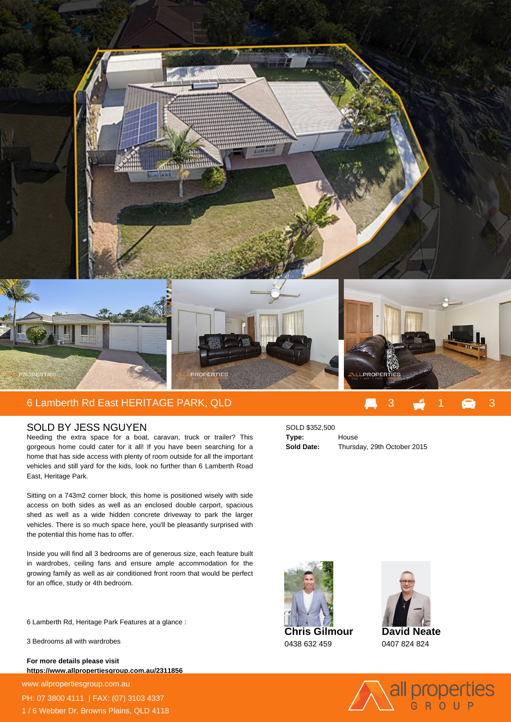

## 6 Lamberth Rd East HERITAGE PARK, QLD 3 2 3 3 3 3 3 3 3 3 3 3

## SOLD BY JESS NGUYEN

Needing the extra space for a boat, caravan, truck or trailer? This gorgeous home could cater for it all! If you have been searching for a home that has side access with plenty of room outside for all the important vehicles and still yard for the kids, look no further than 6 Lamberth Road East, Heritage Park.

Sitting on a 743m2 corner block, this home is positioned wisely with side access on both sides as well as an enclosed double carport, spacious shed as well as a wide hidden concrete driveway to park the larger vehicles. There is so much space here, you'll be pleasantly surprised with the potential this home has to offer.

Inside you will find all 3 bedrooms are of generous size, each feature built in wardrobes, ceiling fans and ensure ample accommodation for the growing family as well as air conditioned front room that would be perfect for an office, study or 4th bedroom.

6 Lamberth Rd, Heritage Park Features at a glance :

3 Bedrooms all with wardrobes

**For more details please visit https://www.allpropertiesgroup.com.au/2311856**

www.allpropertiesgroup.com.au PH: 07 3800 4111 | FAX: (07) 3103 4337 1 / 6 Webber Dr, Browns Plains, QLD 4118







**David Neate** 0407 824 824



**Type:** House